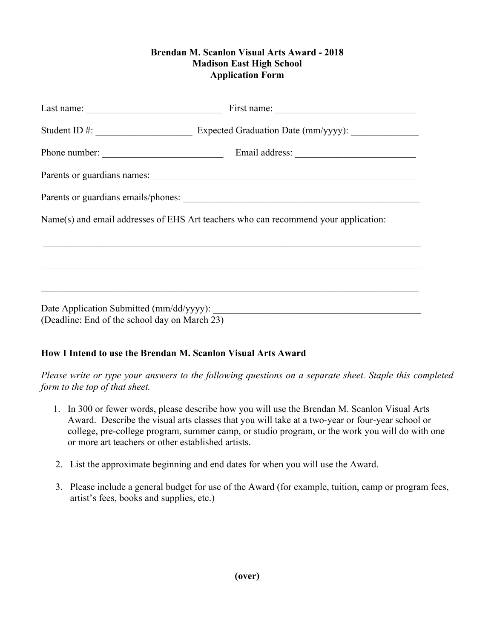## **Brendan M. Scanlon Visual Arts Award - 2018 Madison East High School Application Form**

| Last name: $\frac{1}{\sqrt{1-\frac{1}{2}} \cdot \frac{1}{2}}$ |                                                                                     |
|---------------------------------------------------------------|-------------------------------------------------------------------------------------|
|                                                               |                                                                                     |
|                                                               |                                                                                     |
|                                                               |                                                                                     |
|                                                               |                                                                                     |
|                                                               | Name(s) and email addresses of EHS Art teachers who can recommend your application: |
|                                                               |                                                                                     |
|                                                               | ,我们也不能在这里的人,我们也不能在这里的人,我们也不能在这里的人,我们也不能在这里的人,我们也不能在这里的人,我们也不能在这里的人,我们也不能在这里的人,我们也   |
|                                                               |                                                                                     |
| (Deadline: End of the school day on March 23)                 |                                                                                     |

## **How I Intend to use the Brendan M. Scanlon Visual Arts Award**

*Please write or type your answers to the following questions on a separate sheet. Staple this completed form to the top of that sheet.* 

- 1. In 300 or fewer words, please describe how you will use the Brendan M. Scanlon Visual Arts Award. Describe the visual arts classes that you will take at a two-year or four-year school or college, pre-college program, summer camp, or studio program, or the work you will do with one or more art teachers or other established artists.
- 2. List the approximate beginning and end dates for when you will use the Award.
- 3. Please include a general budget for use of the Award (for example, tuition, camp or program fees, artist's fees, books and supplies, etc.)